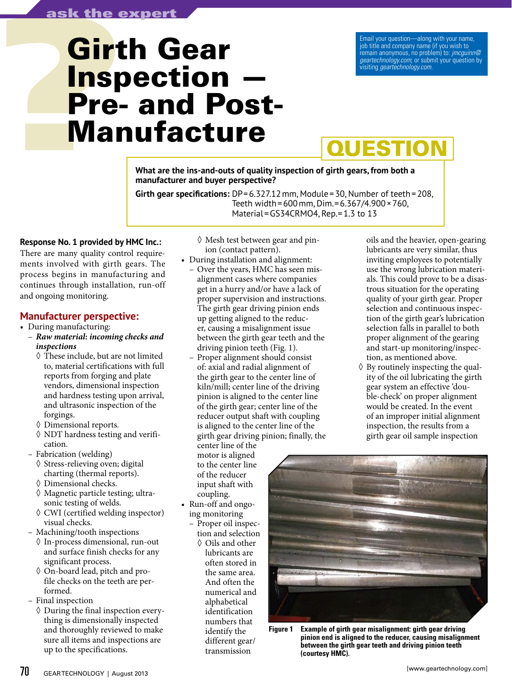# **Girth Gear** Inspection Pre- and Post-Manufacture

Email your question—along with your name, job title and company name (if you wish to remain anonymous, no problem) to: *jmcguinn@ geartechnology.com*; or submit your question by visiting *geartechnology.com*.

# **QUESTION**

**What are the ins-and-outs of quality inspection of girth gears, from both a manufacturer and buyer perspective?**

**Girth gear specifications:** DP=6.327.12mm, Module=30, Number of teeth=208, Teeth width=600mm, Dim.=6.367/4.900×760, Material=GS34CRMO4, Rep.=1.3 to 13

# **Response No. 1 provided by HMC Inc.:**

There are many quality control requirements involved with girth gears. The process begins in manufacturing and continues through installation, run-off and ongoing monitoring.

# **Manufacturer perspective:**

- During manufacturing:
	- *Raw material***:** *incoming checks and inspections*
		- ◊ These include, but are not limited to, material certifications with full reports from forging and plate vendors, dimensional inspection and hardness testing upon arrival, and ultrasonic inspection of the forgings.
		- ◊ Dimensional reports.
		- ◊ NDT hardness testing and verification.
	- Fabrication (welding)
		- ◊ Stress-relieving oven; digital charting (thermal reports).
		- ◊ Dimensional checks.
		- ◊ Magnetic particle testing; ultrasonic testing of welds.
		- ◊ CWI (certified welding inspector) visual checks.
	- Machining/tooth inspections
		- ◊ In-process dimensional, run-out and surface finish checks for any significant process.
		- ◊ On-board lead, pitch and profile checks on the teeth are performed.
	- Final inspection
		- $\Diamond$  During the final inspection everything is dimensionally inspected and thoroughly reviewed to make sure all items and inspections are up to the specifications.

◊ Mesh test between gear and pinion (contact pattern).

- During installation and alignment: – Over the years, HMC has seen misalignment cases where companies get in a hurry and/or have a lack of proper supervision and instructions. The girth gear driving pinion ends up getting aligned to the reducer, causing a misalignment issue
	- between the girth gear teeth and the driving pinion teeth (Fig. 1). – Proper alignment should consist of: axial and radial alignment of the girth gear to the center line of kiln/mill; center line of the driving pinion is aligned to the center line of the girth gear; center line of the reducer output shaft with coupling is aligned to the center line of the

girth gear driving pinion; finally, the center line of the

motor is aligned to the center line of the reducer input shaft with coupling.

- Run-off and ongoing monitoring
	- Proper oil inspection and selection ◊ Oils and other lubricants are often stored in the same area. And often the numerical and alphabetical identification numbers that identify the different gear/ transmission

oils and the heavier, open-gearing lubricants are very similar, thus inviting employees to potentially use the wrong lubrication materials. This could prove to be a disastrous situation for the operating quality of your girth gear. Proper selection and continuous inspection of the girth gear's lubrication selection falls in parallel to both proper alignment of the gearing and start-up monitoring/inspection, as mentioned above.

 $\Diamond$  By routinely inspecting the quality of the oil lubricating the girth gear system an effective 'double-check' on proper alignment would be created. In the event of an improper initial alignment inspection, the results from a girth gear oil sample inspection



**Figure 1 Example of girth gear misalignment: girth gear driving pinion end is aligned to the reducer, causing misalignment between the girth gear teeth and driving pinion teeth (courtesy HMC).**